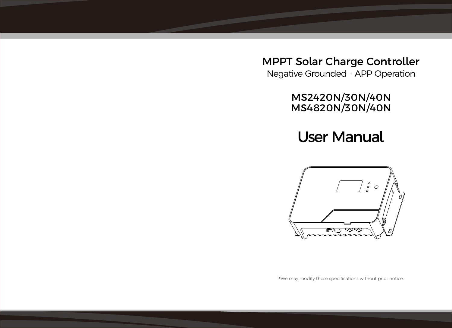MPPT Solar Charge Controller Negative Grounded - APP Operation

MS2420N/30N/40N MS4820N/30N/40N

User Manual



\*We may modify these specifications without prior notice.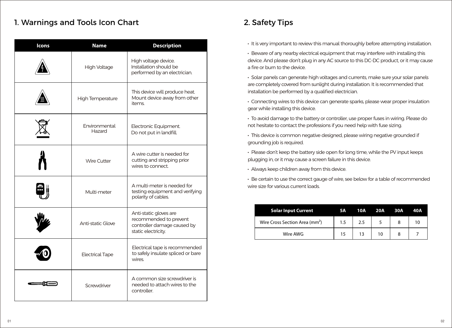## 1. Warnings and Tools Icon Chart 2. Safety Tips

| <b>Icons</b> | <b>Name</b>             | <b>Description</b>                                                                                     |
|--------------|-------------------------|--------------------------------------------------------------------------------------------------------|
|              | High Voltage            | High voltage device.<br>Installation should be<br>performed by an electrician.                         |
|              | High Temperature        | This device will produce heat.<br>Mount device away from other<br>items.                               |
|              | Environmental<br>Hazard | Electronic Equipment.<br>Do not put in landfill.                                                       |
|              | <b>Wire Cutter</b>      | A wire cutter is needed for<br>cutting and stripping prior<br>wires to connect.                        |
|              | Multi-meter             | A multi-meter is needed for<br>testing equipment and verifying<br>polarity of cables.                  |
|              | Anti-static Glove       | Anti-static gloves are<br>recommended to prevent<br>controller damage caused by<br>static electricity. |
|              | <b>Electrical Tape</b>  | Electrical tape is recommended<br>to safely insulate spliced or bare<br>wires.                         |
|              | Screwdriver             | A common size screwdriver is<br>needed to attach wires to the<br>controller.                           |

- **·** It is very important to review this manual thoroughly before attempting installation.
- **·** Beware of any nearby electrical equipment that may interfere with installing this device. And please don't plug in any AC source to this DC-DC product, or it may cause a fire or burn to the device.
- **·** Solar panels can generate high voltages and currents, make sure your solar panels are completely covered from sunlight during installation. It is recommended that installation be performed by a qualified electrician.
- **·** Connecting wires to this device can generate sparks, please wear proper insulation gear while installing this device.
- **·** To avoid damage to the battery or controller, use proper fuses in wiring. Please do not hesitate to contact the professions if you need help with fuse sizing.
- **·** This device is common negative designed, please wiring negative grounded if grounding job is required.
- **·** Please don't keep the battery side open for long time, while the PV input keeps plugging in, or it may cause a screen failure in this device.
- **·** Always keep children away from this device.
- **·** Be certain to use the correct gauge of wire, see below for a table of recommended wire size for various current loads.

| <b>Solar Input Current</b>                 | 5A  | 10A | 20A 30A | 40A |
|--------------------------------------------|-----|-----|---------|-----|
| Wire Cross Section Area (mm <sup>2</sup> ) | 1.5 | 2.5 |         |     |
| Wire AWG                                   | 15  |     | 10      |     |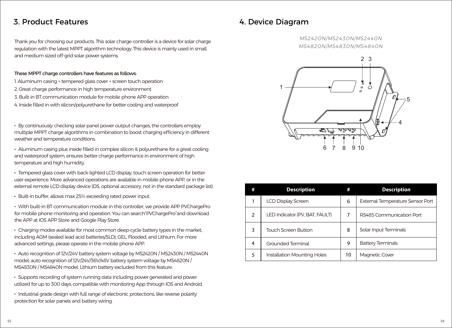## 3. Product Features

Thank you for choosing our products. This solar charge controller is a device for solar charge regulation with the latest MPPT algorithm technology. This device is mainly used in small and medium sized off-grid solar power systems.

#### These MPPT charge controllers have features as follows:

- 1. Aluminum casing + tempered glass cover + screen touch operation
- 2. Great charge performance in high temperature environment
- 3. Built-in BT communication module for mobile phone APP operation
- 4. Inside filled in with silicon/polyurethane for better cooling and waterproof

**·** By continuously checking solar panel power output changes, the controllers employ multiple MPPT charge algorithms in combination to boost charging efficiency in different weather and temperature conditions.

**·** Aluminum casing plus inside filled in complex silicon & polyurethane for a great cooling and waterproof system, ensures better charge performance in environment of high temperature and high humidity.

**·** Tempered glass cover with back-lighted LCD display, touch screen operation for better user experience. More advanced operations are available in mobile phone APP, or in the external remote LCD display device (DS, optional accessory, not in the standard package list)

• Built-in buffer, allows max 25% exceeding rated power input.

**·** With built-in BT communication module in this controller, we provide APP PVChargePro for mobile phone monitoring and operation. You can search"PVChargePro"and download the APP at IOS APP Store and Google Play Store.

**·** Charging modes available for most common deep-cycle battery types in the market, including AGM (sealed lead acid batteries/SLD), GEL, Flooded, and Lithium. For more advanced settings, please operate in the mobile phone APP.

**·** Auto recognition of 12V/24V battery system voltage by MS2420N / MS2430N / MS2440N model; auto recognition of 12V/24V/36V/48V battery system voltage by MS4820N / MS4830N / MS4840N model. Lithium battery excluded from this feature.

**·** Supports recording of system running data including power generated and power utilized for up to 300 days, compatible with monitoring App through IOS and Android.

**·** Industrial grade design with full range of electronic protections, like reverse polarity protection for solar panels and battery wiring.

## 4. Device Diagram

*MS2420N/MS2430N/MS2440N MS4820N/MS4830N/MS4840N*



| #             | <b>Description</b>             | #  | <b>Description</b>               |
|---------------|--------------------------------|----|----------------------------------|
|               | LCD Display Screen             | 6  | External Temperature Sensor Port |
| $\mathcal{P}$ | LED Indicator (PV, BAT, FAULT) | 7  | RS485 Communication Port         |
| 3             | <b>Touch Screen Button</b>     | 8  | Solar Input Terminals            |
| 4             | Grounded Terminal              | 9  | <b>Battery Terminals</b>         |
| 5             | Installation Mounting Holes    | 10 | Magnetic Cover                   |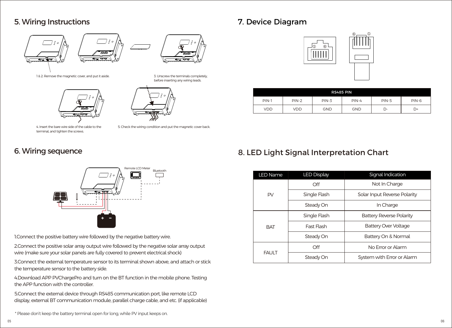## 5. Wiring Instructions





before inserting any wiring leads.

1 & 2: Remove the magnetic cover, and put it aside. 3. Unscrew the terminals completely,



4. Insert the bare wire side of the cable to the terminal, and tighten the screws.

5. Check the wiring condition and put the magnetic cover back.

## 6. Wiring sequence



1.Connect the positive battery wire followed by the negative battery wire.

2.Connect the positive solar array output wire followed by the negative solar array output wire (make sure your solar panels are fully covered to prevent electrical shock)

3.Connect the external temperature sensor to its terminal shown above, and attach or stick the temperature sensor to the battery side.

4.Download APP PVChargePro and turn on the BT function in the mobile phone. Testing the APP function with the controller.

5.Connect the external device through RS485 communication port, like remote LCD display, external BT communication module, parallel charge cable, and etc. (if applicable)

# 7. Device Diagram



| RS485 PIN  |            |            |            |    |    |  |  |
|------------|------------|------------|------------|----|----|--|--|
| $PIN-1$    | $PIN-2$    | $PIN-5$    | $PIN-6$    |    |    |  |  |
| <b>VDD</b> | <b>VDD</b> | <b>GND</b> | <b>GND</b> | D- | D+ |  |  |

# 8. LED Light Signal Interpretation Chart

| <b>LED Name</b> | <b>LED Display</b> | Signal Indication               |  |  |  |  |
|-----------------|--------------------|---------------------------------|--|--|--|--|
|                 | Off                | Not In Charge                   |  |  |  |  |
| PV              | Single Flash       | Solar Input Reverse Polarity    |  |  |  |  |
|                 | Steady On          | In Charge                       |  |  |  |  |
|                 | Single Flash       | <b>Battery Reverse Polarity</b> |  |  |  |  |
| <b>BAT</b>      | Fast Flash         | <b>Battery Over Voltage</b>     |  |  |  |  |
|                 | Steady On          | Battery On & Normal             |  |  |  |  |
|                 | Off                | No Error or Alarm               |  |  |  |  |
| <b>FAULT</b>    | Steady On          | System with Error or Alarm      |  |  |  |  |

\* Please don't keep the battery terminal open for long, while PV input keeps on.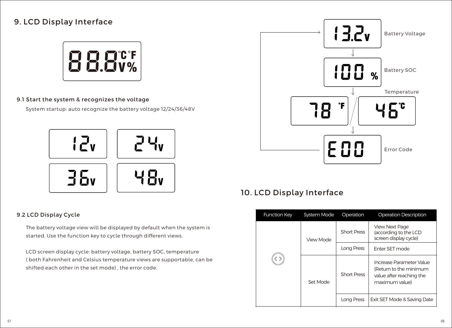# 9. LCD Display Interface



#### 9.1 Start the system & recognizes the voltage

System startup: auto recognize the battery voltage 12/24/36/48V



#### 9.2 LCD Display Cycle

The battery voltage view will be displayed by default when the system is started. Use the function key to cycle through different views.

( both Fahrenheit and Celsius temperature views are supportable, can be shifted each other in the set mode) , the error code. LCD screen display cycle: battery voltage, battery SOC, temperature



# 10. LCD Display Interface

| <b>Function Key</b> | System Mode | Operation          | <b>Operation Description</b>                                                                     |
|---------------------|-------------|--------------------|--------------------------------------------------------------------------------------------------|
|                     | View Mode   | <b>Short Press</b> | <b>View Next Page</b><br>(according to the LCD<br>screen display cycle)                          |
|                     |             | Long Press         | <b>Enter SFT mode</b>                                                                            |
|                     | Set Mode    | <b>Short Press</b> | Increase Parameter Value<br>(Return to the minimum<br>value after reaching the<br>maximum value) |
|                     |             | Long Press         | Exit SET Mode & Saving Date                                                                      |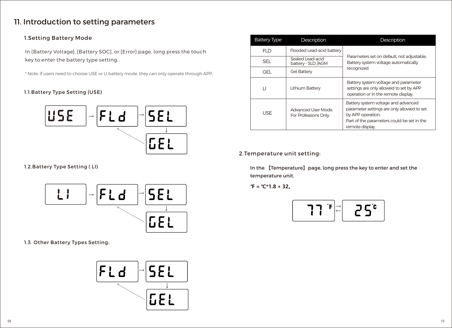# 11. Introduction to setting parameters

### 1.Setting Battery Mode

In [Battery Voltage], [Battery SOC], or [Error] page, long press the touch key to enter the battery type setting.

\* Note: If users need to choose USE or LI battery mode, they can only operate through APP.

#### 1.1.Battery Type Setting (USE)



1.2.Battery Type Setting ( LI)



1.3 Other Battery Types Setting:



|  | <b>Battery Type</b>                                                                          | Description        | Description                                                                                                                                                             |  |  |  |  |
|--|----------------------------------------------------------------------------------------------|--------------------|-------------------------------------------------------------------------------------------------------------------------------------------------------------------------|--|--|--|--|
|  | Flooded Lead-acid battery<br>FI D<br>Sealed Lead-acid<br>SFI.<br>battery - SLD /AGM          |                    |                                                                                                                                                                         |  |  |  |  |
|  |                                                                                              |                    | Parameters set on default, not adjustable.<br>Battery system voltage automatically                                                                                      |  |  |  |  |
|  | GFI.                                                                                         | <b>Gel Battery</b> | recognized.                                                                                                                                                             |  |  |  |  |
|  | Lithium Battery<br>$\mathsf{L}$<br>Advanced User Mode<br><b>USE</b><br>For Professions Only. |                    | Battery system voltage and parameter<br>settings are only allowed to set by APP<br>operation or in the remote display.                                                  |  |  |  |  |
|  |                                                                                              |                    | Battery system voltage and advanced<br>parameter settings are only allowed to set<br>by APP operation.<br>Part of the parameters could be set in the<br>remote display. |  |  |  |  |

### 2.Temperature unit setting:

In the 【Temperature】page, long press the key to enter and set the temperature unit.

**℉ = ℃\*1.8 + 32。**

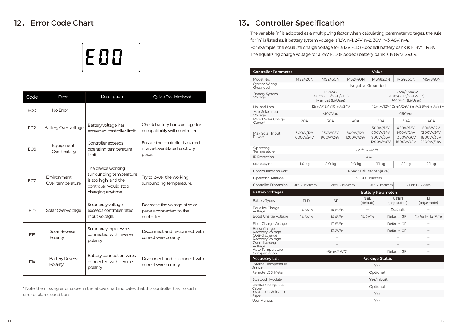

| Code            | Error                              | Description                                                                                                         | Quick Troubleshoot                                                          |
|-----------------|------------------------------------|---------------------------------------------------------------------------------------------------------------------|-----------------------------------------------------------------------------|
| EO <sub>O</sub> | No Error                           |                                                                                                                     |                                                                             |
| E02             | <b>Battery Over-voltage</b>        | Battery voltage has<br>exceeded controller limit.                                                                   | Check battery bank voltage for<br>compatibility with controller.            |
| F <sub>06</sub> | Equipment<br>Overheating           | Controller exceeds<br>operating temperature<br>limit                                                                | Ensure the controller is placed<br>in a well-ventilated cool, dry<br>place. |
| F <sub>07</sub> | Environment<br>Over-temperature    | The device working<br>surrounding temperature<br>is too high, and the<br>controller would stop<br>charging anytime. | Try to lower the working<br>surrounding temperature.                        |
| F <sub>10</sub> | Solar Over-voltage                 | Solar array voltage<br>exceeds controller rated<br>input voltage.                                                   | Decrease the voltage of solar<br>panels connected to the<br>controller      |
| E13             | Solar Reverse<br>Polarity          | Solar array input wires<br>connected with reverse<br>polarity.                                                      | Disconnect and re-connect with<br>correct wire polarity.                    |
| F14             | <b>Battery Reverse</b><br>Polarity | Battery connection wires<br>connected with reverse<br>polarity.                                                     | Disconnect and re-connect with<br>correct wire polarity                     |

\* Note: the missing error codes in the above chart indicates that this controller has no such error or alarm condition.

## 12. Error Code Chart **13. Controller Specification**

For example, the equalize charge voltage for a 12V FLD (Flooded) battery bank is 14.8V\*1=14.8V. The equalizing charge voltage for a 24V FLD (Flooded) battery bank is 14.8V\*2=29.6V. The variable "n" is adopted as a multiplying factor when calculating parameter voltages, the rule for "n" is listed as: if battery system voltage is 12V, n=1; 24V, n=2; 36V, n=3; 48V, n=4.

| Controller Parameter<br>Value           |                                                  |                                  |                       |                                   |                           |                                                       |                             |                                                |                                                 |
|-----------------------------------------|--------------------------------------------------|----------------------------------|-----------------------|-----------------------------------|---------------------------|-------------------------------------------------------|-----------------------------|------------------------------------------------|-------------------------------------------------|
| Model No.                               | <b>MS2420N</b>                                   | <b>MS2430N</b><br><b>MS2440N</b> |                       |                                   | MS4820N                   |                                                       | <b>MS4830N</b>              |                                                | <b>MS4840N</b>                                  |
| System Wiring<br>Grounded               |                                                  |                                  |                       |                                   | Negative Grounded         |                                                       |                             |                                                |                                                 |
| <b>Battery System</b><br>Voltage        | 12V/24V<br>Auto(FLD/GEL/SLD)<br>Manual (Li/User) |                                  |                       |                                   |                           | 12/24/36/48V<br>Auto(FLD/GEL/SLD)<br>Manual (Li/User) |                             |                                                |                                                 |
| No-load Loss                            |                                                  | 12mA/12V; 10mA/24V               |                       |                                   |                           |                                                       |                             |                                                | 12mA/12V:10mA/24V:8mA/36V:6mA/48V               |
| Max Solar Input<br>Voltage              |                                                  | $<$ 100 $V$ oc                   |                       |                                   |                           |                                                       | $150$ Voc                   |                                                |                                                 |
| Rated Solar Charge<br>Current           | 20A                                              | 30A                              |                       | 40A                               | 20A                       |                                                       | 30A                         |                                                | 40A                                             |
| Max Solar Input<br>Power                | 300W/12V<br>600W/24V                             | 450W/12V<br>900W/24V             | 600W/12V<br>1200W/24V |                                   |                           | 300W/12V<br>600W/24V<br>900W/36V<br>1200W/48V         |                             | 450W/12V<br>900W/24V<br>1350W/36V<br>1800W/48V | 600W/12V<br>1200W/24V<br>1800W/36V<br>2400W/48V |
| Operating<br>Temperature                |                                                  |                                  |                       | $-35^{\circ}$ C ~ $+45^{\circ}$ C |                           |                                                       |                             |                                                |                                                 |
| <b>IP Protection</b>                    |                                                  |                                  |                       |                                   | <b>IP34</b>               |                                                       |                             |                                                |                                                 |
| Net Weight                              | 1.0 <sub>kq</sub>                                | 2.0 kg                           |                       | 2.0 kg                            | 1.1 kg                    |                                                       | 2.1 kg                      |                                                | 2.1 kg                                          |
| Communication Port                      |                                                  |                                  |                       |                                   | RS485+Bluetooth(APP)      |                                                       |                             |                                                |                                                 |
| <b>Operating Altitude</b>               |                                                  |                                  |                       |                                   | ≤3000 meters              |                                                       |                             |                                                |                                                 |
| <b>Controller Dimension</b>             | 190*120*59mm                                     | 218*150*65mm                     |                       |                                   | 190*120*59mm              |                                                       | 218*150*65mm                |                                                |                                                 |
| <b>Battery Voltages</b>                 |                                                  |                                  |                       |                                   | <b>Battery Parameters</b> |                                                       |                             |                                                |                                                 |
| <b>Battery Types</b>                    | <b>FLD</b>                                       | <b>SEL</b>                       |                       | <b>GEL</b><br>(default)           |                           |                                                       | <b>USER</b><br>(adjustable) |                                                | $\Box$<br>(adjustable)                          |
| Equalize Charge<br>Voltage              | 14.8V*n                                          | 14.6V*n                          |                       |                                   |                           | Default                                               |                             |                                                |                                                 |
| Boost Charge Voltage                    | 14.6V*n                                          | 14.4V*n                          |                       | 14.2V*n                           |                           | Default: GEL                                          |                             |                                                | Default: 14.2V*n                                |
| Float Charge Voltage                    |                                                  | 13.8V*n                          |                       |                                   |                           | Default: GEL                                          |                             |                                                |                                                 |
| <b>Boost Charge</b><br>Recovery Voltage |                                                  | 13.2V*n                          |                       |                                   |                           |                                                       | Default: GEL                |                                                |                                                 |
| Over-discharge<br>Recovery Voltage      |                                                  |                                  |                       |                                   |                           |                                                       |                             |                                                |                                                 |
| Over-discharge<br>Voltage               |                                                  |                                  |                       |                                   |                           |                                                       |                             |                                                |                                                 |
| Auto Temperature<br>Compensation        |                                                  | $-3mV/2V$ <sup>o</sup> C         |                       |                                   |                           | Default: GEL                                          |                             |                                                |                                                 |
| Accessory List                          |                                                  |                                  |                       |                                   | Package Status            |                                                       |                             |                                                |                                                 |
| External Temperature<br>Sensor          | Yes                                              |                                  |                       |                                   |                           |                                                       |                             |                                                |                                                 |
| Remote LCD Meter                        | Optional                                         |                                  |                       |                                   |                           |                                                       |                             |                                                |                                                 |
| <b>Bluetooth Module</b>                 |                                                  |                                  |                       |                                   | Yes/Inbuit                |                                                       |                             |                                                |                                                 |
| Parallel Charge Use<br>Cable            |                                                  |                                  |                       |                                   | Optional                  |                                                       |                             |                                                |                                                 |
| Installation Guidance<br>Paper          | Yes                                              |                                  |                       |                                   |                           |                                                       |                             |                                                |                                                 |
| User Manual                             |                                                  |                                  |                       |                                   | Yes                       |                                                       |                             |                                                |                                                 |